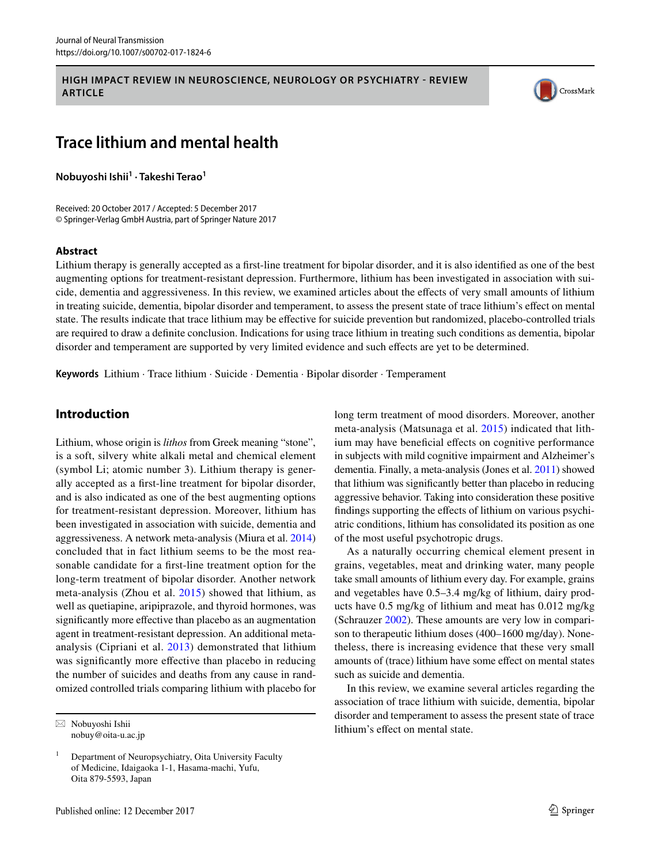## **HIGH IMPACT REVIEW IN NEUROSCIENCE, NEUROLOGY OR PSYCHIATRY - REVIEW ARTICLE**



# **Trace lithium and mental health**

**Nobuyoshi Ishii1 · Takeshi Terao<sup>1</sup>**

Received: 20 October 2017 / Accepted: 5 December 2017 © Springer-Verlag GmbH Austria, part of Springer Nature 2017

#### **Abstract**

Lithium therapy is generally accepted as a frst-line treatment for bipolar disorder, and it is also identifed as one of the best augmenting options for treatment-resistant depression. Furthermore, lithium has been investigated in association with suicide, dementia and aggressiveness. In this review, we examined articles about the efects of very small amounts of lithium in treating suicide, dementia, bipolar disorder and temperament, to assess the present state of trace lithium's efect on mental state. The results indicate that trace lithium may be efective for suicide prevention but randomized, placebo-controlled trials are required to draw a defnite conclusion. Indications for using trace lithium in treating such conditions as dementia, bipolar disorder and temperament are supported by very limited evidence and such effects are yet to be determined.

**Keywords** Lithium · Trace lithium · Suicide · Dementia · Bipolar disorder · Temperament

# **Introduction**

Lithium, whose origin is *lithos* from Greek meaning "stone", is a soft, silvery white alkali metal and chemical element (symbol Li; atomic number 3). Lithium therapy is generally accepted as a frst-line treatment for bipolar disorder, and is also indicated as one of the best augmenting options for treatment-resistant depression. Moreover, lithium has been investigated in association with suicide, dementia and aggressiveness. A network meta-analysis (Miura et al. [2014\)](#page-4-0) concluded that in fact lithium seems to be the most reasonable candidate for a frst-line treatment option for the long-term treatment of bipolar disorder. Another network meta-analysis (Zhou et al. [2015](#page-4-1)) showed that lithium, as well as quetiapine, aripiprazole, and thyroid hormones, was significantly more effective than placebo as an augmentation agent in treatment-resistant depression. An additional metaanalysis (Cipriani et al. [2013\)](#page-3-0) demonstrated that lithium was significantly more effective than placebo in reducing the number of suicides and deaths from any cause in randomized controlled trials comparing lithium with placebo for long term treatment of mood disorders. Moreover, another meta-analysis (Matsunaga et al. [2015](#page-4-2)) indicated that lithium may have beneficial effects on cognitive performance in subjects with mild cognitive impairment and Alzheimer's dementia. Finally, a meta-analysis (Jones et al. [2011\)](#page-3-1) showed that lithium was signifcantly better than placebo in reducing aggressive behavior. Taking into consideration these positive fndings supporting the efects of lithium on various psychiatric conditions, lithium has consolidated its position as one of the most useful psychotropic drugs.

As a naturally occurring chemical element present in grains, vegetables, meat and drinking water, many people take small amounts of lithium every day. For example, grains and vegetables have 0.5–3.4 mg/kg of lithium, dairy products have 0.5 mg/kg of lithium and meat has 0.012 mg/kg (Schrauzer [2002\)](#page-4-3). These amounts are very low in comparison to therapeutic lithium doses (400–1600 mg/day). Nonetheless, there is increasing evidence that these very small amounts of (trace) lithium have some efect on mental states such as suicide and dementia.

In this review, we examine several articles regarding the association of trace lithium with suicide, dementia, bipolar disorder and temperament to assess the present state of trace  $\boxtimes$  Nobuyoshi Ishii  $\Box$  Nobuyoshi Ishii  $\Box$  Nobuyoshi Ishii  $\Box$ 

nobuy@oita-u.ac.jp

<sup>1</sup> Department of Neuropsychiatry, Oita University Faculty of Medicine, Idaigaoka 1-1, Hasama-machi, Yufu, Oita 879-5593, Japan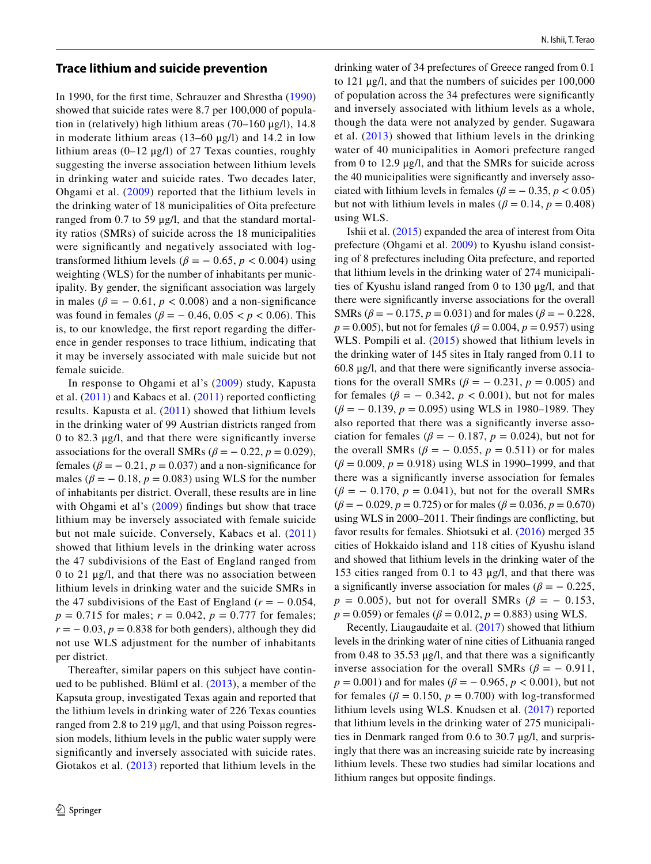## **Trace lithium and suicide prevention**

In 1990, for the frst time, Schrauzer and Shrestha ([1990\)](#page-4-4) showed that suicide rates were 8.7 per 100,000 of population in (relatively) high lithium areas (70–160 μg/l), 14.8 in moderate lithium areas  $(13-60 \text{ µg/l})$  and  $14.2$  in low lithium areas  $(0-12 \mu g/l)$  of 27 Texas counties, roughly suggesting the inverse association between lithium levels in drinking water and suicide rates. Two decades later, Ohgami et al. [\(2009](#page-4-5)) reported that the lithium levels in the drinking water of 18 municipalities of Oita prefecture ranged from 0.7 to 59 μg/l, and that the standard mortality ratios (SMRs) of suicide across the 18 municipalities were signifcantly and negatively associated with logtransformed lithium levels ( $\beta$  =  $-$  0.65,  $p$  < 0.004) using weighting (WLS) for the number of inhabitants per municipality. By gender, the signifcant association was largely in males ( $\beta = -0.61$ ,  $p < 0.008$ ) and a non-significance was found in females ( $\beta = -0.46, 0.05 < p < 0.06$ ). This is, to our knowledge, the frst report regarding the diference in gender responses to trace lithium, indicating that it may be inversely associated with male suicide but not female suicide.

In response to Ohgami et al's ([2009\)](#page-4-5) study, Kapusta et al. [\(2011\)](#page-4-6) and Kabacs et al. ([2011](#page-4-7)) reported conficting results. Kapusta et al. ([2011\)](#page-4-6) showed that lithium levels in the drinking water of 99 Austrian districts ranged from 0 to 82.3 μg/l, and that there were signifcantly inverse associations for the overall SMRs ( $\beta$  =  $-$  0.22,  $p$  = 0.029), females ( $\beta = -0.21$ ,  $p = 0.037$ ) and a non-significance for males ( $\beta$  =  $-$  0.18,  $p$  = 0.083) using WLS for the number of inhabitants per district. Overall, these results are in line with Ohgami et al's [\(2009\)](#page-4-5) findings but show that trace lithium may be inversely associated with female suicide but not male suicide. Conversely, Kabacs et al. [\(2011\)](#page-4-7) showed that lithium levels in the drinking water across the 47 subdivisions of the East of England ranged from 0 to 21 μg/l, and that there was no association between lithium levels in drinking water and the suicide SMRs in the 47 subdivisions of the East of England ( $r = -0.054$ ,  $p = 0.715$  for males;  $r = 0.042$ ,  $p = 0.777$  for females;  $r = -0.03$ ,  $p = 0.838$  for both genders), although they did not use WLS adjustment for the number of inhabitants per district.

Thereafter, similar papers on this subject have continued to be published. Blüml et al. [\(2013\)](#page-3-2), a member of the Kapsuta group, investigated Texas again and reported that the lithium levels in drinking water of 226 Texas counties ranged from 2.8 to 219 μg/l, and that using Poisson regression models, lithium levels in the public water supply were signifcantly and inversely associated with suicide rates. Giotakos et al. [\(2013](#page-3-3)) reported that lithium levels in the

drinking water of 34 prefectures of Greece ranged from 0.1 to 121 μg/l, and that the numbers of suicides per 100,000 of population across the 34 prefectures were signifcantly and inversely associated with lithium levels as a whole, though the data were not analyzed by gender. Sugawara et al. ([2013\)](#page-4-8) showed that lithium levels in the drinking water of 40 municipalities in Aomori prefecture ranged from 0 to 12.9 μg/l, and that the SMRs for suicide across the 40 municipalities were signifcantly and inversely associated with lithium levels in females ( $\beta = -0.35, p < 0.05$ ) but not with lithium levels in males ( $\beta = 0.14$ ,  $p = 0.408$ ) using WLS.

Ishii et al. ([2015\)](#page-3-4) expanded the area of interest from Oita prefecture (Ohgami et al. [2009](#page-4-5)) to Kyushu island consisting of 8 prefectures including Oita prefecture, and reported that lithium levels in the drinking water of 274 municipalities of Kyushu island ranged from 0 to 130 μg/l, and that there were signifcantly inverse associations for the overall SMRs ( $\beta$  = − 0.175,  $p$  = 0.031) and for males ( $\beta$  = − 0.228, *p* = 0.005), but not for females ( $\beta$  = 0.004, *p* = 0.957) using WLS. Pompili et al. [\(2015\)](#page-4-9) showed that lithium levels in the drinking water of 145 sites in Italy ranged from 0.11 to 60.8 μg/l, and that there were signifcantly inverse associations for the overall SMRs ( $\beta$  =  $-$  0.231,  $p$  = 0.005) and for females ( $\beta = -0.342$ ,  $p < 0.001$ ), but not for males (*β* = − 0.139, *p* = 0.095) using WLS in 1980–1989. They also reported that there was a signifcantly inverse association for females ( $\beta$  =  $-$  0.187,  $p$  = 0.024), but not for the overall SMRs ( $\beta$  =  $-$  0.055,  $p$  = 0.511) or for males (*β* = 0.009, *p* = 0.918) using WLS in 1990–1999, and that there was a signifcantly inverse association for females  $(\beta = -0.170, p = 0.041)$ , but not for the overall SMRs  $(\beta = -0.029, p = 0.725)$  or for males  $(\beta = 0.036, p = 0.670)$ using WLS in 2000–2011. Their fndings are conficting, but favor results for females. Shiotsuki et al. [\(2016\)](#page-4-10) merged 35 cities of Hokkaido island and 118 cities of Kyushu island and showed that lithium levels in the drinking water of the 153 cities ranged from 0.1 to 43 μg/l, and that there was a significantly inverse association for males ( $\beta = -0.225$ ,  $p = 0.005$ ), but not for overall SMRs ( $\beta = -0.153$ ,  $p = 0.059$  or females ( $\beta = 0.012$ ,  $p = 0.883$ ) using WLS.

Recently, Liaugaudaite et al. [\(2017](#page-4-11)) showed that lithium levels in the drinking water of nine cities of Lithuania ranged from 0.48 to 35.53  $\mu$ g/l, and that there was a significantly inverse association for the overall SMRs ( $\beta$  = - 0.911,  $p = 0.001$ ) and for males ( $\beta = -0.965$ ,  $p < 0.001$ ), but not for females ( $\beta$  = 0.150,  $p$  = 0.700) with log-transformed lithium levels using WLS. Knudsen et al. [\(2017\)](#page-4-12) reported that lithium levels in the drinking water of 275 municipalities in Denmark ranged from 0.6 to 30.7 μg/l, and surprisingly that there was an increasing suicide rate by increasing lithium levels. These two studies had similar locations and lithium ranges but opposite fndings.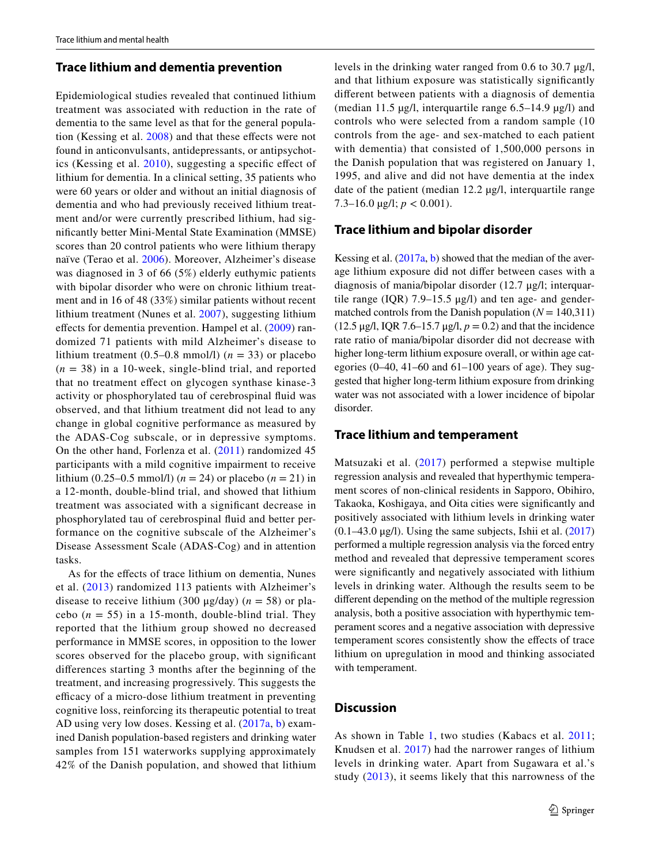# **Trace lithium and dementia prevention**

Epidemiological studies revealed that continued lithium treatment was associated with reduction in the rate of dementia to the same level as that for the general popula-tion (Kessing et al. [2008\)](#page-4-13) and that these effects were not found in anticonvulsants, antidepressants, or antipsychotics (Kessing et al. [2010](#page-4-14)), suggesting a specifc efect of lithium for dementia. In a clinical setting, 35 patients who were 60 years or older and without an initial diagnosis of dementia and who had previously received lithium treatment and/or were currently prescribed lithium, had signifcantly better Mini-Mental State Examination (MMSE) scores than 20 control patients who were lithium therapy naïve (Terao et al. [2006\)](#page-4-15). Moreover, Alzheimer's disease was diagnosed in 3 of 66 (5%) elderly euthymic patients with bipolar disorder who were on chronic lithium treatment and in 16 of 48 (33%) similar patients without recent lithium treatment (Nunes et al. [2007\)](#page-4-16), suggesting lithium effects for dementia prevention. Hampel et al. ([2009\)](#page-3-5) randomized 71 patients with mild Alzheimer's disease to lithium treatment  $(0.5-0.8 \text{ mmol/l})$   $(n = 33)$  or placebo  $(n = 38)$  in a 10-week, single-blind trial, and reported that no treatment efect on glycogen synthase kinase-3 activity or phosphorylated tau of cerebrospinal fuid was observed, and that lithium treatment did not lead to any change in global cognitive performance as measured by the ADAS-Cog subscale, or in depressive symptoms. On the other hand, Forlenza et al. ([2011](#page-3-6)) randomized 45 participants with a mild cognitive impairment to receive lithium (0.25–0.5 mmol/l) ( $n = 24$ ) or placebo ( $n = 21$ ) in a 12-month, double-blind trial, and showed that lithium treatment was associated with a signifcant decrease in phosphorylated tau of cerebrospinal fuid and better performance on the cognitive subscale of the Alzheimer's Disease Assessment Scale (ADAS-Cog) and in attention tasks.

As for the efects of trace lithium on dementia, Nunes et al. ([2013](#page-4-17)) randomized 113 patients with Alzheimer's disease to receive lithium (300 μg/day) (*n* = 58) or placebo  $(n = 55)$  in a 15-month, double-blind trial. They reported that the lithium group showed no decreased performance in MMSE scores, in opposition to the lower scores observed for the placebo group, with signifcant diferences starting 3 months after the beginning of the treatment, and increasing progressively. This suggests the efficacy of a micro-dose lithium treatment in preventing cognitive loss, reinforcing its therapeutic potential to treat AD using very low doses. Kessing et al. ([2017a](#page-4-18), [b\)](#page-4-19) examined Danish population-based registers and drinking water samples from 151 waterworks supplying approximately 42% of the Danish population, and showed that lithium levels in the drinking water ranged from 0.6 to 30.7 μg/l, and that lithium exposure was statistically signifcantly diferent between patients with a diagnosis of dementia (median 11.5 µg/l, interquartile range 6.5–14.9 µg/l) and controls who were selected from a random sample (10 controls from the age- and sex-matched to each patient with dementia) that consisted of 1,500,000 persons in the Danish population that was registered on January 1, 1995, and alive and did not have dementia at the index date of the patient (median 12.2 µg/l, interquartile range 7.3–16.0  $\mu$ g/l; *p* < 0.001).

## **Trace lithium and bipolar disorder**

Kessing et al. ([2017a](#page-4-18), [b\)](#page-4-19) showed that the median of the average lithium exposure did not difer between cases with a diagnosis of mania/bipolar disorder (12.7 μg/l; interquartile range (IQR)  $7.9-15.5 \mu g/l$ ) and ten age- and gendermatched controls from the Danish population  $(N = 140,311)$ (12.5 μg/l, IQR 7.6–15.7 μg/l, *p* = 0.2) and that the incidence rate ratio of mania/bipolar disorder did not decrease with higher long-term lithium exposure overall, or within age categories  $(0-40, 41-60, 61-100, 40)$  years of age). They suggested that higher long-term lithium exposure from drinking water was not associated with a lower incidence of bipolar disorder.

## **Trace lithium and temperament**

Matsuzaki et al. ([2017\)](#page-4-20) performed a stepwise multiple regression analysis and revealed that hyperthymic temperament scores of non-clinical residents in Sapporo, Obihiro, Takaoka, Koshigaya, and Oita cities were signifcantly and positively associated with lithium levels in drinking water  $(0.1-43.0 \,\mu$ g/l). Using the same subjects, Ishii et al.  $(2017)$  $(2017)$ performed a multiple regression analysis via the forced entry method and revealed that depressive temperament scores were signifcantly and negatively associated with lithium levels in drinking water. Although the results seem to be diferent depending on the method of the multiple regression analysis, both a positive association with hyperthymic temperament scores and a negative association with depressive temperament scores consistently show the efects of trace lithium on upregulation in mood and thinking associated with temperament.

# **Discussion**

As shown in Table [1](#page-3-8), two studies (Kabacs et al. [2011](#page-4-7); Knudsen et al. [2017\)](#page-4-12) had the narrower ranges of lithium levels in drinking water. Apart from Sugawara et al.'s study ([2013\)](#page-4-8), it seems likely that this narrowness of the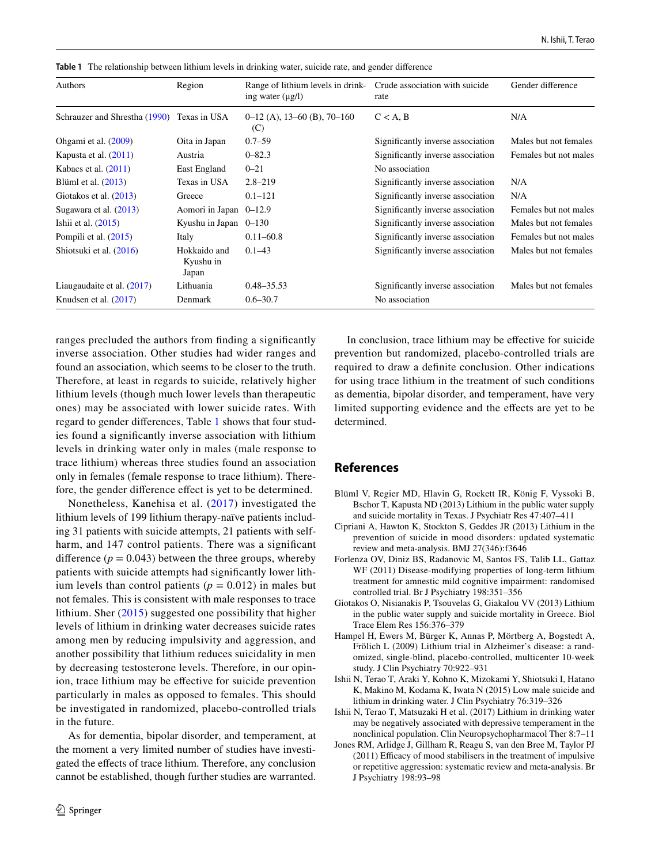| Authors                                    | Region                             | Range of lithium levels in drink-<br>ing water $(\mu g/l)$ | Crude association with suicide<br>rate | Gender difference     |
|--------------------------------------------|------------------------------------|------------------------------------------------------------|----------------------------------------|-----------------------|
| Schrauzer and Shrestha (1990) Texas in USA |                                    | $0-12$ (A), 13-60 (B), 70-160<br>(C)                       | $C < A$ , B                            | N/A                   |
| Ohgami et al. (2009)                       | Oita in Japan                      | $0.7 - 59$                                                 | Significantly inverse association      | Males but not females |
| Kapusta et al. $(2011)$                    | Austria                            | $0 - 82.3$                                                 | Significantly inverse association      | Females but not males |
| Kabacs et al. $(2011)$                     | East England                       | $0 - 21$                                                   | No association                         |                       |
| Blüml et al. $(2013)$                      | Texas in USA                       | $2.8 - 219$                                                | Significantly inverse association      | N/A                   |
| Giotakos et al. $(2013)$                   | Greece                             | $0.1 - 121$                                                | Significantly inverse association      | N/A                   |
| Sugawara et al. $(2013)$                   | Aomori in Japan 0-12.9             |                                                            | Significantly inverse association      | Females but not males |
| Ishii et al. $(2015)$                      | Kyushu in Japan $0-130$            |                                                            | Significantly inverse association      | Males but not females |
| Pompili et al. (2015)                      | Italy                              | $0.11 - 60.8$                                              | Significantly inverse association      | Females but not males |
| Shiotsuki et al. (2016)                    | Hokkaido and<br>Kyushu in<br>Japan | $0.1 - 43$                                                 | Significantly inverse association      | Males but not females |
| Liaugaudaite et al. $(2017)$               | Lithuania                          | $0.48 - 35.53$                                             | Significantly inverse association      | Males but not females |
| Knudsen et al. $(2017)$                    | Denmark                            | $0.6 - 30.7$                                               | No association                         |                       |

<span id="page-3-8"></span>**Table 1** The relationship between lithium levels in drinking water, suicide rate, and gender difference

ranges precluded the authors from fnding a signifcantly inverse association. Other studies had wider ranges and found an association, which seems to be closer to the truth. Therefore, at least in regards to suicide, relatively higher lithium levels (though much lower levels than therapeutic ones) may be associated with lower suicide rates. With regard to gender diferences, Table [1](#page-3-8) shows that four studies found a signifcantly inverse association with lithium levels in drinking water only in males (male response to trace lithium) whereas three studies found an association only in females (female response to trace lithium). Therefore, the gender diference efect is yet to be determined.

Nonetheless, Kanehisa et al. ([2017](#page-4-21)) investigated the lithium levels of 199 lithium therapy-naïve patients including 31 patients with suicide attempts, 21 patients with selfharm, and 147 control patients. There was a significant difference  $(p = 0.043)$  between the three groups, whereby patients with suicide attempts had signifcantly lower lithium levels than control patients ( $p = 0.012$ ) in males but not females. This is consistent with male responses to trace lithium. Sher [\(2015\)](#page-4-22) suggested one possibility that higher levels of lithium in drinking water decreases suicide rates among men by reducing impulsivity and aggression, and another possibility that lithium reduces suicidality in men by decreasing testosterone levels. Therefore, in our opinion, trace lithium may be efective for suicide prevention particularly in males as opposed to females. This should be investigated in randomized, placebo-controlled trials in the future.

As for dementia, bipolar disorder, and temperament, at the moment a very limited number of studies have investigated the efects of trace lithium. Therefore, any conclusion cannot be established, though further studies are warranted.

In conclusion, trace lithium may be efective for suicide prevention but randomized, placebo-controlled trials are required to draw a defnite conclusion. Other indications for using trace lithium in the treatment of such conditions as dementia, bipolar disorder, and temperament, have very limited supporting evidence and the effects are yet to be. determined.

# **References**

- <span id="page-3-2"></span>Blüml V, Regier MD, Hlavin G, Rockett IR, König F, Vyssoki B, Bschor T, Kapusta ND (2013) Lithium in the public water supply and suicide mortality in Texas. J Psychiatr Res 47:407–411
- <span id="page-3-0"></span>Cipriani A, Hawton K, Stockton S, Geddes JR (2013) Lithium in the prevention of suicide in mood disorders: updated systematic review and meta-analysis. BMJ 27(346):f3646
- <span id="page-3-6"></span>Forlenza OV, Diniz BS, Radanovic M, Santos FS, Talib LL, Gattaz WF (2011) Disease-modifying properties of long-term lithium treatment for amnestic mild cognitive impairment: randomised controlled trial. Br J Psychiatry 198:351–356
- <span id="page-3-3"></span>Giotakos O, Nisianakis P, Tsouvelas G, Giakalou VV (2013) Lithium in the public water supply and suicide mortality in Greece. Biol Trace Elem Res 156:376–379
- <span id="page-3-5"></span>Hampel H, Ewers M, Bürger K, Annas P, Mörtberg A, Bogstedt A, Frölich L (2009) Lithium trial in Alzheimer's disease: a randomized, single-blind, placebo-controlled, multicenter 10-week study. J Clin Psychiatry 70:922–931
- <span id="page-3-4"></span>Ishii N, Terao T, Araki Y, Kohno K, Mizokami Y, Shiotsuki I, Hatano K, Makino M, Kodama K, Iwata N (2015) Low male suicide and lithium in drinking water. J Clin Psychiatry 76:319–326
- <span id="page-3-7"></span>Ishii N, Terao T, Matsuzaki H et al. (2017) Lithium in drinking water may be negatively associated with depressive temperament in the nonclinical population. Clin Neuropsychopharmacol Ther 8:7–11
- <span id="page-3-1"></span>Jones RM, Arlidge J, Gillham R, Reagu S, van den Bree M, Taylor PJ (2011) Efficacy of mood stabilisers in the treatment of impulsive or repetitive aggression: systematic review and meta-analysis. Br J Psychiatry 198:93–98